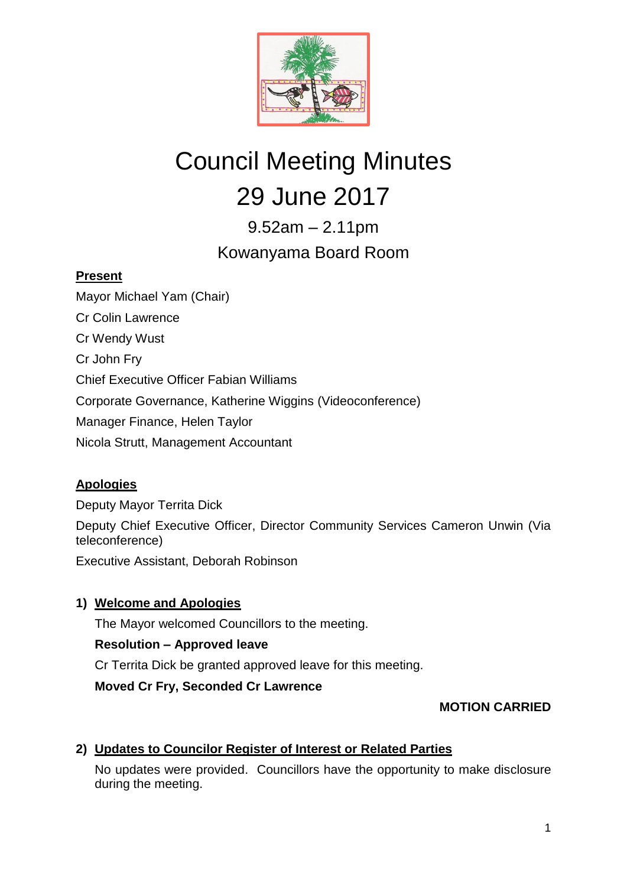

# Council Meeting Minutes 29 June 2017

9.52am – 2.11pm Kowanyama Board Room

# **Present**

Mayor Michael Yam (Chair) Cr Colin Lawrence Cr Wendy Wust Cr John Fry Chief Executive Officer Fabian Williams Corporate Governance, Katherine Wiggins (Videoconference) Manager Finance, Helen Taylor Nicola Strutt, Management Accountant

# **Apologies**

Deputy Mayor Territa Dick

Deputy Chief Executive Officer, Director Community Services Cameron Unwin (Via teleconference)

Executive Assistant, Deborah Robinson

**1) Welcome and Apologies**

The Mayor welcomed Councillors to the meeting.

# **Resolution – Approved leave**

Cr Territa Dick be granted approved leave for this meeting.

**Moved Cr Fry, Seconded Cr Lawrence**

# **MOTION CARRIED**

# **2) Updates to Councilor Register of Interest or Related Parties**

No updates were provided. Councillors have the opportunity to make disclosure during the meeting.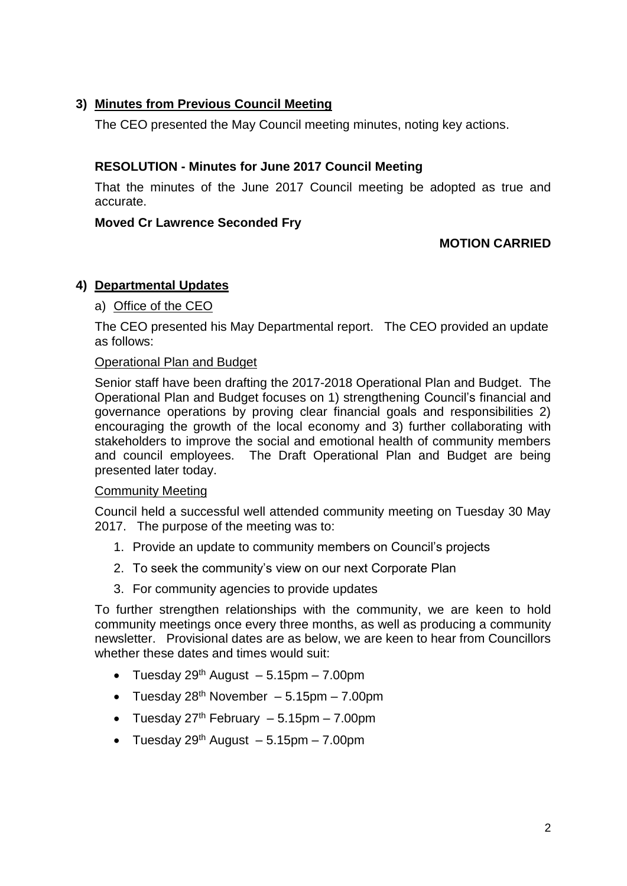# **3) Minutes from Previous Council Meeting**

The CEO presented the May Council meeting minutes, noting key actions.

# **RESOLUTION - Minutes for June 2017 Council Meeting**

That the minutes of the June 2017 Council meeting be adopted as true and accurate.

#### **Moved Cr Lawrence Seconded Fry**

## **MOTION CARRIED**

## **4) Departmental Updates**

## a) Office of the CEO

The CEO presented his May Departmental report. The CEO provided an update as follows:

#### Operational Plan and Budget

Senior staff have been drafting the 2017-2018 Operational Plan and Budget. The Operational Plan and Budget focuses on 1) strengthening Council's financial and governance operations by proving clear financial goals and responsibilities 2) encouraging the growth of the local economy and 3) further collaborating with stakeholders to improve the social and emotional health of community members and council employees. The Draft Operational Plan and Budget are being presented later today.

#### Community Meeting

Council held a successful well attended community meeting on Tuesday 30 May 2017. The purpose of the meeting was to:

- 1. Provide an update to community members on Council's projects
- 2. To seek the community's view on our next Corporate Plan
- 3. For community agencies to provide updates

To further strengthen relationships with the community, we are keen to hold community meetings once every three months, as well as producing a community newsletter. Provisional dates are as below, we are keen to hear from Councillors whether these dates and times would suit:

- Tuesday 29<sup>th</sup> August  $-5.15$ pm  $-7.00$ pm
- Tuesday  $28^{th}$  November 5.15pm 7.00pm
- Tuesday  $27<sup>th</sup>$  February  $-5.15$ pm  $-7.00$ pm
- Tuesday  $29<sup>th</sup>$  August  $-5.15$ pm  $-7.00$ pm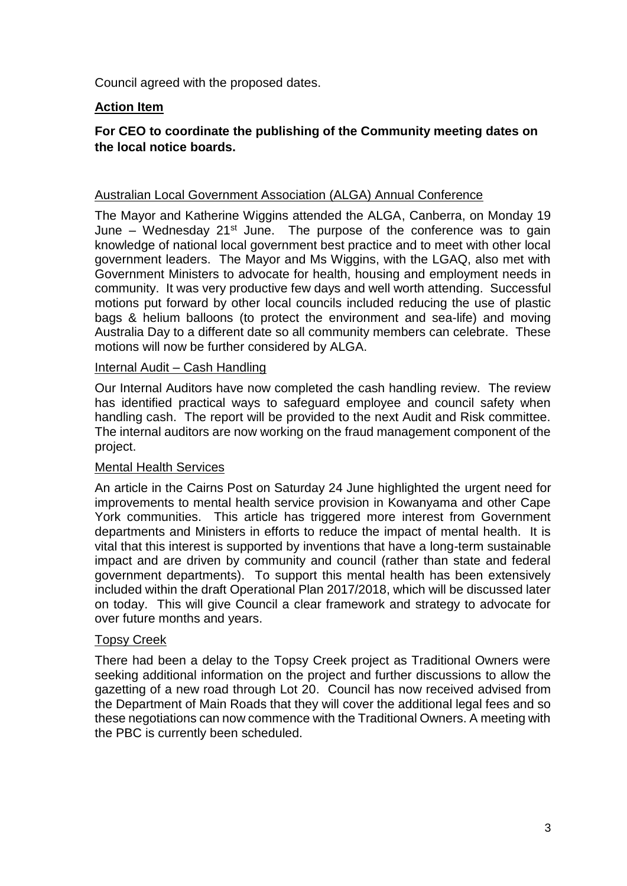Council agreed with the proposed dates.

# **Action Item**

# **For CEO to coordinate the publishing of the Community meeting dates on the local notice boards.**

#### Australian Local Government Association (ALGA) Annual Conference

The Mayor and Katherine Wiggins attended the ALGA, Canberra, on Monday 19 June – Wednesday  $21^{st}$  June. The purpose of the conference was to gain knowledge of national local government best practice and to meet with other local government leaders. The Mayor and Ms Wiggins, with the LGAQ, also met with Government Ministers to advocate for health, housing and employment needs in community. It was very productive few days and well worth attending. Successful motions put forward by other local councils included reducing the use of plastic bags & helium balloons (to protect the environment and sea-life) and moving Australia Day to a different date so all community members can celebrate. These motions will now be further considered by ALGA.

#### Internal Audit – Cash Handling

Our Internal Auditors have now completed the cash handling review. The review has identified practical ways to safeguard employee and council safety when handling cash. The report will be provided to the next Audit and Risk committee. The internal auditors are now working on the fraud management component of the project.

## Mental Health Services

An article in the Cairns Post on Saturday 24 June highlighted the urgent need for improvements to mental health service provision in Kowanyama and other Cape York communities. This article has triggered more interest from Government departments and Ministers in efforts to reduce the impact of mental health. It is vital that this interest is supported by inventions that have a long-term sustainable impact and are driven by community and council (rather than state and federal government departments). To support this mental health has been extensively included within the draft Operational Plan 2017/2018, which will be discussed later on today. This will give Council a clear framework and strategy to advocate for over future months and years.

## Topsy Creek

There had been a delay to the Topsy Creek project as Traditional Owners were seeking additional information on the project and further discussions to allow the gazetting of a new road through Lot 20. Council has now received advised from the Department of Main Roads that they will cover the additional legal fees and so these negotiations can now commence with the Traditional Owners. A meeting with the PBC is currently been scheduled.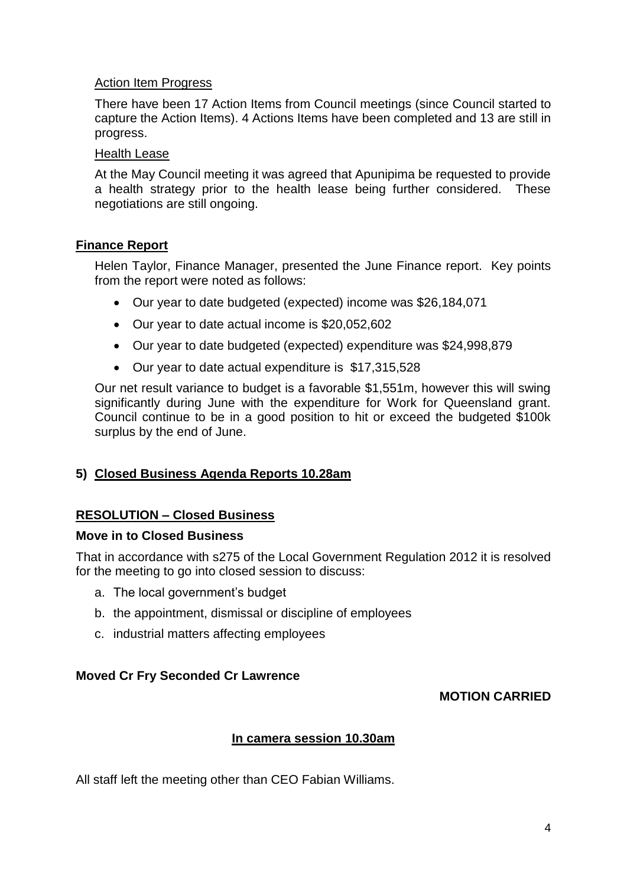# Action Item Progress

There have been 17 Action Items from Council meetings (since Council started to capture the Action Items). 4 Actions Items have been completed and 13 are still in progress.

#### Health Lease

At the May Council meeting it was agreed that Apunipima be requested to provide a health strategy prior to the health lease being further considered. These negotiations are still ongoing.

## **Finance Report**

Helen Taylor, Finance Manager, presented the June Finance report. Key points from the report were noted as follows:

- Our year to date budgeted (expected) income was \$26,184,071
- Our year to date actual income is \$20,052,602
- Our year to date budgeted (expected) expenditure was \$24,998,879
- Our year to date actual expenditure is \$17,315,528

Our net result variance to budget is a favorable \$1,551m, however this will swing significantly during June with the expenditure for Work for Queensland grant. Council continue to be in a good position to hit or exceed the budgeted \$100k surplus by the end of June.

# **5) Closed Business Agenda Reports 10.28am**

## **RESOLUTION – Closed Business**

## **Move in to Closed Business**

That in accordance with s275 of the Local Government Regulation 2012 it is resolved for the meeting to go into closed session to discuss:

- a. The local government's budget
- b. the appointment, dismissal or discipline of employees
- c. industrial matters affecting employees

## **Moved Cr Fry Seconded Cr Lawrence**

## **MOTION CARRIED**

## **In camera session 10.30am**

All staff left the meeting other than CEO Fabian Williams.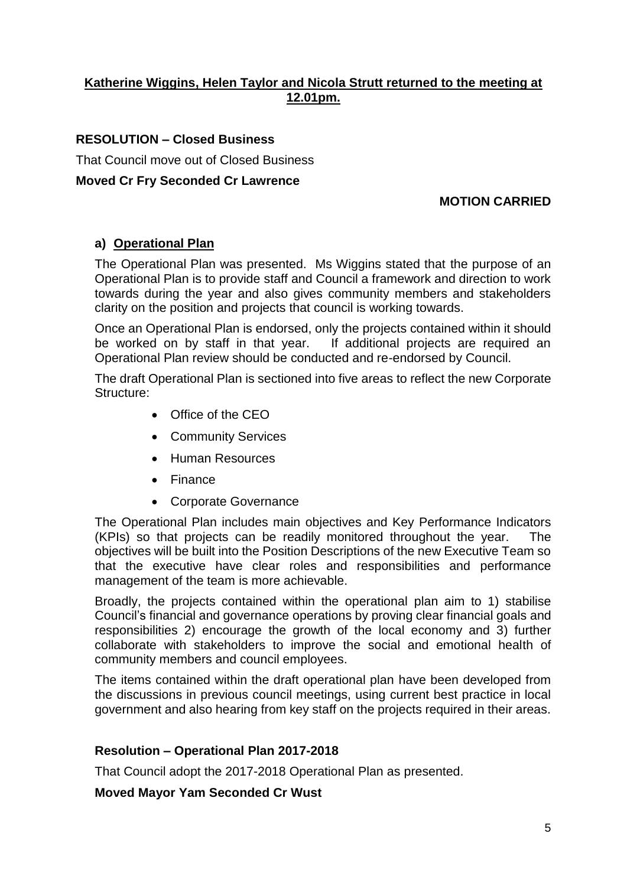# **Katherine Wiggins, Helen Taylor and Nicola Strutt returned to the meeting at 12.01pm.**

# **RESOLUTION – Closed Business**

That Council move out of Closed Business

## **Moved Cr Fry Seconded Cr Lawrence**

# **MOTION CARRIED**

## **a) Operational Plan**

The Operational Plan was presented. Ms Wiggins stated that the purpose of an Operational Plan is to provide staff and Council a framework and direction to work towards during the year and also gives community members and stakeholders clarity on the position and projects that council is working towards.

Once an Operational Plan is endorsed, only the projects contained within it should be worked on by staff in that year. If additional projects are required an Operational Plan review should be conducted and re-endorsed by Council.

The draft Operational Plan is sectioned into five areas to reflect the new Corporate Structure:

- Office of the CEO
- Community Services
- **•** Human Resources
- Finance
- Corporate Governance

The Operational Plan includes main objectives and Key Performance Indicators (KPIs) so that projects can be readily monitored throughout the year. The objectives will be built into the Position Descriptions of the new Executive Team so that the executive have clear roles and responsibilities and performance management of the team is more achievable.

Broadly, the projects contained within the operational plan aim to 1) stabilise Council's financial and governance operations by proving clear financial goals and responsibilities 2) encourage the growth of the local economy and 3) further collaborate with stakeholders to improve the social and emotional health of community members and council employees.

The items contained within the draft operational plan have been developed from the discussions in previous council meetings, using current best practice in local government and also hearing from key staff on the projects required in their areas.

## **Resolution – Operational Plan 2017-2018**

That Council adopt the 2017-2018 Operational Plan as presented.

**Moved Mayor Yam Seconded Cr Wust**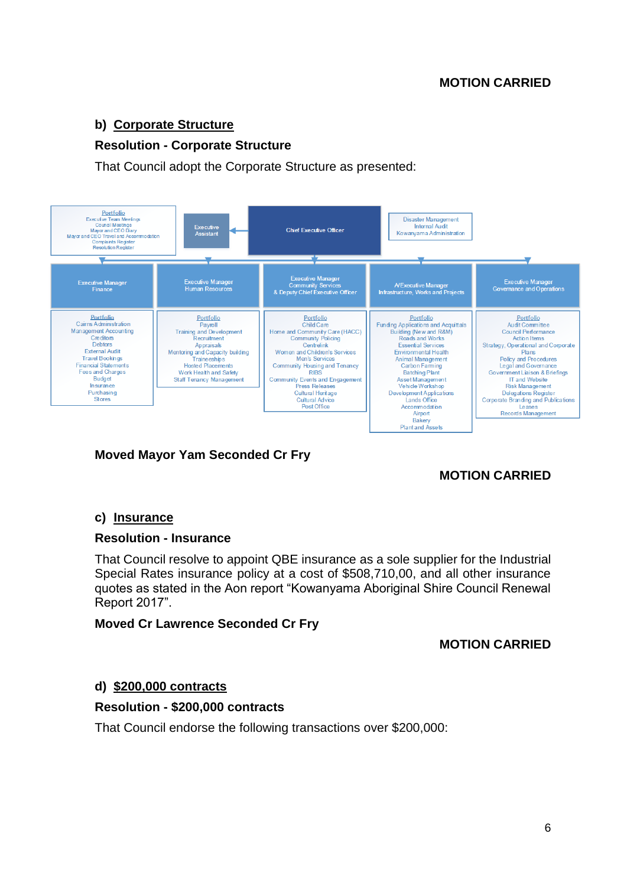# **b) Corporate Structure**

# **Resolution - Corporate Structure**

That Council adopt the Corporate Structure as presented:



# **Moved Mayor Yam Seconded Cr Fry**

# **MOTION CARRIED**

## **c) Insurance**

## **Resolution - Insurance**

That Council resolve to appoint QBE insurance as a sole supplier for the Industrial Special Rates insurance policy at a cost of \$508,710,00, and all other insurance quotes as stated in the Aon report "Kowanyama Aboriginal Shire Council Renewal Report 2017".

## **Moved Cr Lawrence Seconded Cr Fry**

## **MOTION CARRIED**

# **d) \$200,000 contracts**

## **Resolution - \$200,000 contracts**

That Council endorse the following transactions over \$200,000: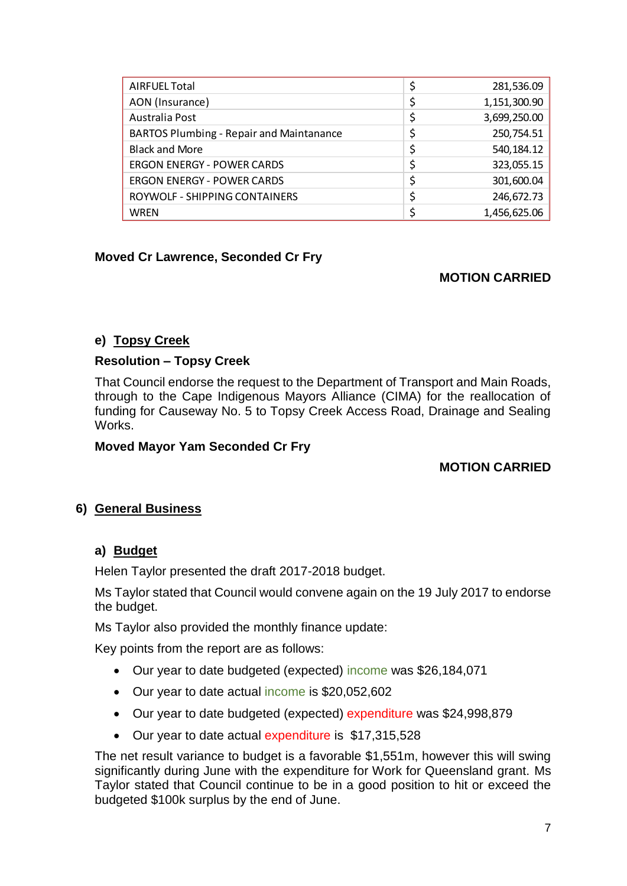| <b>AIRFUEL Total</b>                            | 281,536.09         |
|-------------------------------------------------|--------------------|
| AON (Insurance)                                 | \$<br>1,151,300.90 |
| Australia Post                                  | \$<br>3,699,250.00 |
| <b>BARTOS Plumbing - Repair and Maintanance</b> | \$<br>250,754.51   |
| <b>Black and More</b>                           | \$<br>540,184.12   |
| <b>ERGON ENERGY - POWER CARDS</b>               | \$<br>323,055.15   |
| <b>ERGON ENERGY - POWER CARDS</b>               | \$<br>301,600.04   |
| ROYWOLF - SHIPPING CONTAINERS                   | \$<br>246,672.73   |
| <b>WREN</b>                                     | 1,456,625.06       |

# **Moved Cr Lawrence, Seconded Cr Fry**

# **MOTION CARRIED**

# **e) Topsy Creek**

## **Resolution – Topsy Creek**

That Council endorse the request to the Department of Transport and Main Roads, through to the Cape Indigenous Mayors Alliance (CIMA) for the reallocation of funding for Causeway No. 5 to Topsy Creek Access Road, Drainage and Sealing Works.

## **Moved Mayor Yam Seconded Cr Fry**

# **MOTION CARRIED**

# **6) General Business**

# **a) Budget**

Helen Taylor presented the draft 2017-2018 budget.

Ms Taylor stated that Council would convene again on the 19 July 2017 to endorse the budget.

Ms Taylor also provided the monthly finance update:

Key points from the report are as follows:

- Our year to date budgeted (expected) income was \$26,184,071
- Our year to date actual income is \$20,052,602
- Our year to date budgeted (expected) expenditure was \$24,998,879
- Our year to date actual expenditure is \$17,315,528

The net result variance to budget is a favorable \$1,551m, however this will swing significantly during June with the expenditure for Work for Queensland grant. Ms Taylor stated that Council continue to be in a good position to hit or exceed the budgeted \$100k surplus by the end of June.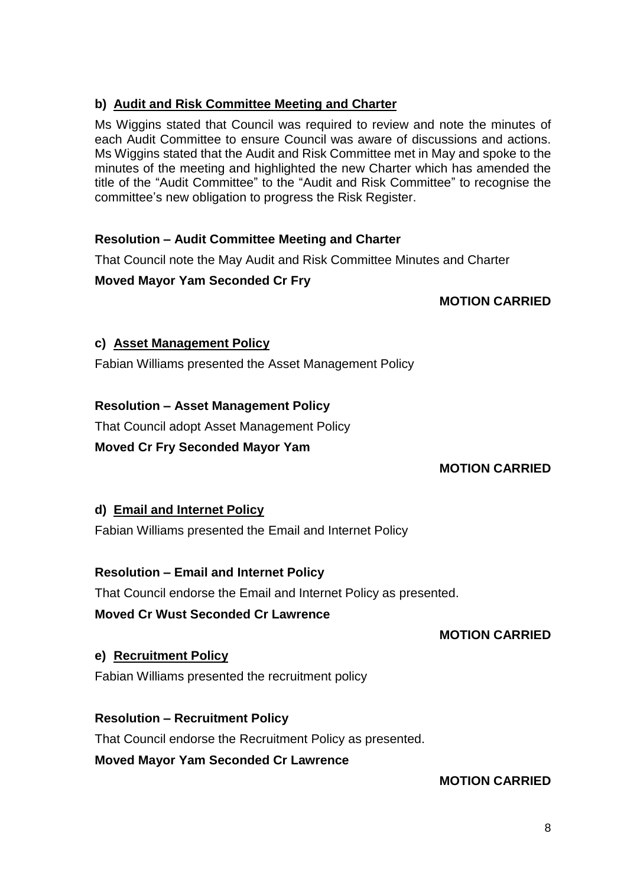# **b) Audit and Risk Committee Meeting and Charter**

Ms Wiggins stated that Council was required to review and note the minutes of each Audit Committee to ensure Council was aware of discussions and actions. Ms Wiggins stated that the Audit and Risk Committee met in May and spoke to the minutes of the meeting and highlighted the new Charter which has amended the title of the "Audit Committee" to the "Audit and Risk Committee" to recognise the committee's new obligation to progress the Risk Register.

## **Resolution – Audit Committee Meeting and Charter**

That Council note the May Audit and Risk Committee Minutes and Charter

## **Moved Mayor Yam Seconded Cr Fry**

## **MOTION CARRIED**

## **c) Asset Management Policy**

Fabian Williams presented the Asset Management Policy

## **Resolution – Asset Management Policy**

That Council adopt Asset Management Policy

## **Moved Cr Fry Seconded Mayor Yam**

# **MOTION CARRIED**

# **d) Email and Internet Policy**

Fabian Williams presented the Email and Internet Policy

# **Resolution – Email and Internet Policy**

That Council endorse the Email and Internet Policy as presented.

## **Moved Cr Wust Seconded Cr Lawrence**

## **MOTION CARRIED**

## **e) Recruitment Policy**

Fabian Williams presented the recruitment policy

# **Resolution – Recruitment Policy**

That Council endorse the Recruitment Policy as presented.

**Moved Mayor Yam Seconded Cr Lawrence**

## **MOTION CARRIED**